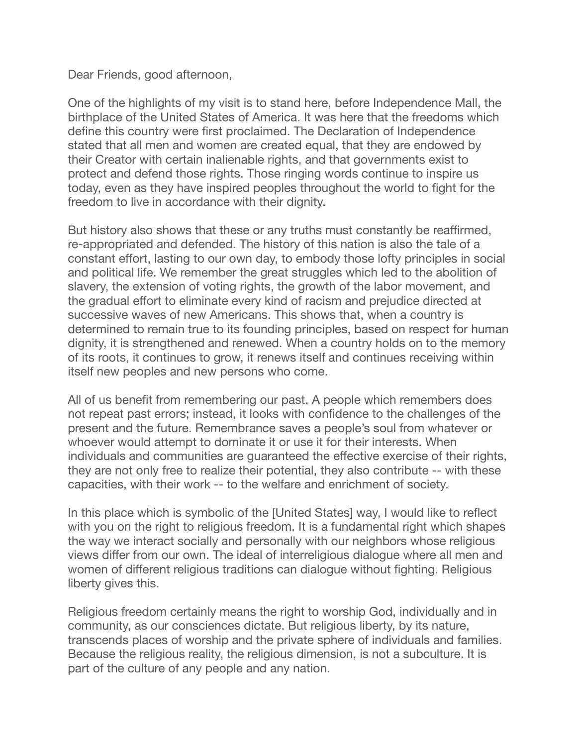Dear Friends, good afternoon,

One of the highlights of my visit is to stand here, before Independence Mall, the birthplace of the United States of America. It was here that the freedoms which define this country were first proclaimed. The Declaration of Independence stated that all men and women are created equal, that they are endowed by their Creator with certain inalienable rights, and that governments exist to protect and defend those rights. Those ringing words continue to inspire us today, even as they have inspired peoples throughout the world to fight for the freedom to live in accordance with their dignity.

But history also shows that these or any truths must constantly be reaffirmed, re-appropriated and defended. The history of this nation is also the tale of a constant effort, lasting to our own day, to embody those lofty principles in social and political life. We remember the great struggles which led to the abolition of slavery, the extension of voting rights, the growth of the labor movement, and the gradual effort to eliminate every kind of racism and prejudice directed at successive waves of new Americans. This shows that, when a country is determined to remain true to its founding principles, based on respect for human dignity, it is strengthened and renewed. When a country holds on to the memory of its roots, it continues to grow, it renews itself and continues receiving within itself new peoples and new persons who come.

All of us benefit from remembering our past. A people which remembers does not repeat past errors; instead, it looks with confidence to the challenges of the present and the future. Remembrance saves a people's soul from whatever or whoever would attempt to dominate it or use it for their interests. When individuals and communities are guaranteed the effective exercise of their rights, they are not only free to realize their potential, they also contribute -- with these capacities, with their work -- to the welfare and enrichment of society.

In this place which is symbolic of the [United States] way, I would like to reflect with you on the right to religious freedom. It is a fundamental right which shapes the way we interact socially and personally with our neighbors whose religious views differ from our own. The ideal of interreligious dialogue where all men and women of different religious traditions can dialogue without fighting. Religious liberty gives this.

Religious freedom certainly means the right to worship God, individually and in community, as our consciences dictate. But religious liberty, by its nature, transcends places of worship and the private sphere of individuals and families. Because the religious reality, the religious dimension, is not a subculture. It is part of the culture of any people and any nation.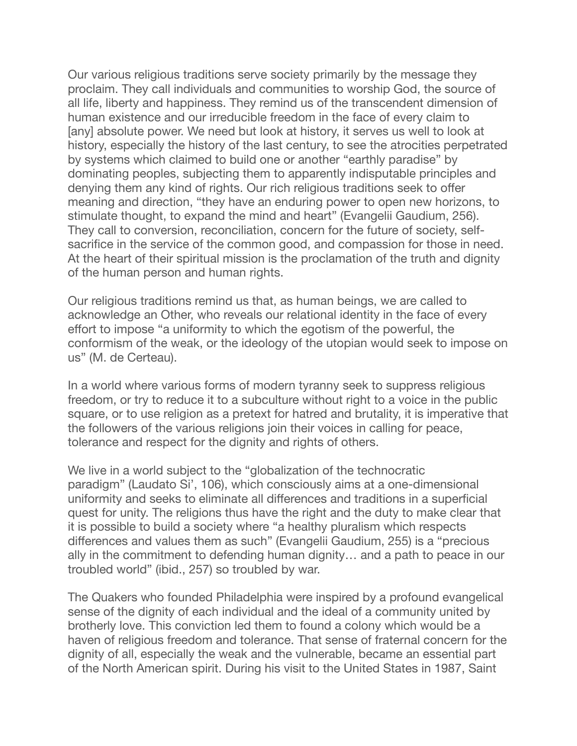Our various religious traditions serve society primarily by the message they proclaim. They call individuals and communities to worship God, the source of all life, liberty and happiness. They remind us of the transcendent dimension of human existence and our irreducible freedom in the face of every claim to [any] absolute power. We need but look at history, it serves us well to look at history, especially the history of the last century, to see the atrocities perpetrated by systems which claimed to build one or another "earthly paradise" by dominating peoples, subjecting them to apparently indisputable principles and denying them any kind of rights. Our rich religious traditions seek to offer meaning and direction, "they have an enduring power to open new horizons, to stimulate thought, to expand the mind and heart" (Evangelii Gaudium, 256). They call to conversion, reconciliation, concern for the future of society, selfsacrifice in the service of the common good, and compassion for those in need. At the heart of their spiritual mission is the proclamation of the truth and dignity of the human person and human rights.

Our religious traditions remind us that, as human beings, we are called to acknowledge an Other, who reveals our relational identity in the face of every effort to impose "a uniformity to which the egotism of the powerful, the conformism of the weak, or the ideology of the utopian would seek to impose on us" (M. de Certeau).

In a world where various forms of modern tyranny seek to suppress religious freedom, or try to reduce it to a subculture without right to a voice in the public square, or to use religion as a pretext for hatred and brutality, it is imperative that the followers of the various religions join their voices in calling for peace, tolerance and respect for the dignity and rights of others.

We live in a world subject to the "globalization of the technocratic paradigm" (Laudato Si', 106), which consciously aims at a one-dimensional uniformity and seeks to eliminate all differences and traditions in a superficial quest for unity. The religions thus have the right and the duty to make clear that it is possible to build a society where "a healthy pluralism which respects differences and values them as such" (Evangelii Gaudium, 255) is a "precious ally in the commitment to defending human dignity… and a path to peace in our troubled world" (ibid., 257) so troubled by war.

The Quakers who founded Philadelphia were inspired by a profound evangelical sense of the dignity of each individual and the ideal of a community united by brotherly love. This conviction led them to found a colony which would be a haven of religious freedom and tolerance. That sense of fraternal concern for the dignity of all, especially the weak and the vulnerable, became an essential part of the North American spirit. During his visit to the United States in 1987, Saint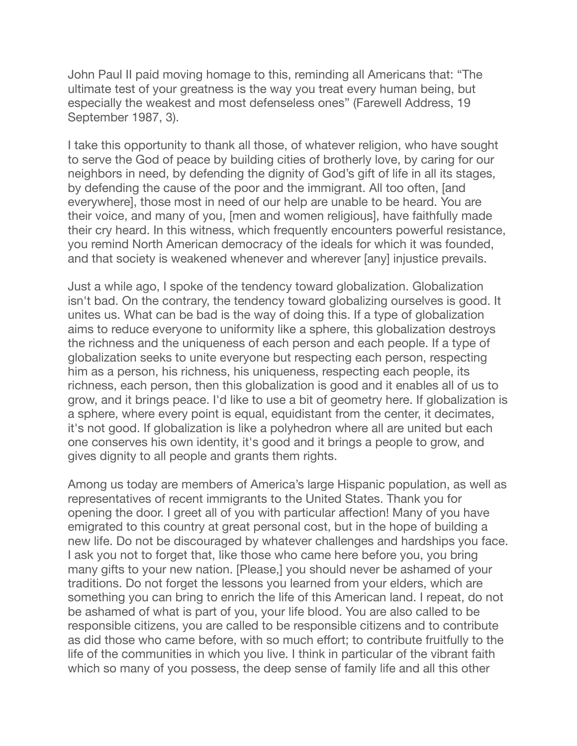John Paul II paid moving homage to this, reminding all Americans that: "The ultimate test of your greatness is the way you treat every human being, but especially the weakest and most defenseless ones" (Farewell Address, 19 September 1987, 3).

I take this opportunity to thank all those, of whatever religion, who have sought to serve the God of peace by building cities of brotherly love, by caring for our neighbors in need, by defending the dignity of God's gift of life in all its stages, by defending the cause of the poor and the immigrant. All too often, [and everywhere], those most in need of our help are unable to be heard. You are their voice, and many of you, [men and women religious], have faithfully made their cry heard. In this witness, which frequently encounters powerful resistance, you remind North American democracy of the ideals for which it was founded, and that society is weakened whenever and wherever [any] injustice prevails.

Just a while ago, I spoke of the tendency toward globalization. Globalization isn't bad. On the contrary, the tendency toward globalizing ourselves is good. It unites us. What can be bad is the way of doing this. If a type of globalization aims to reduce everyone to uniformity like a sphere, this globalization destroys the richness and the uniqueness of each person and each people. If a type of globalization seeks to unite everyone but respecting each person, respecting him as a person, his richness, his uniqueness, respecting each people, its richness, each person, then this globalization is good and it enables all of us to grow, and it brings peace. I'd like to use a bit of geometry here. If globalization is a sphere, where every point is equal, equidistant from the center, it decimates, it's not good. If globalization is like a polyhedron where all are united but each one conserves his own identity, it's good and it brings a people to grow, and gives dignity to all people and grants them rights.

Among us today are members of America's large Hispanic population, as well as representatives of recent immigrants to the United States. Thank you for opening the door. I greet all of you with particular affection! Many of you have emigrated to this country at great personal cost, but in the hope of building a new life. Do not be discouraged by whatever challenges and hardships you face. I ask you not to forget that, like those who came here before you, you bring many gifts to your new nation. [Please,] you should never be ashamed of your traditions. Do not forget the lessons you learned from your elders, which are something you can bring to enrich the life of this American land. I repeat, do not be ashamed of what is part of you, your life blood. You are also called to be responsible citizens, you are called to be responsible citizens and to contribute as did those who came before, with so much effort; to contribute fruitfully to the life of the communities in which you live. I think in particular of the vibrant faith which so many of you possess, the deep sense of family life and all this other